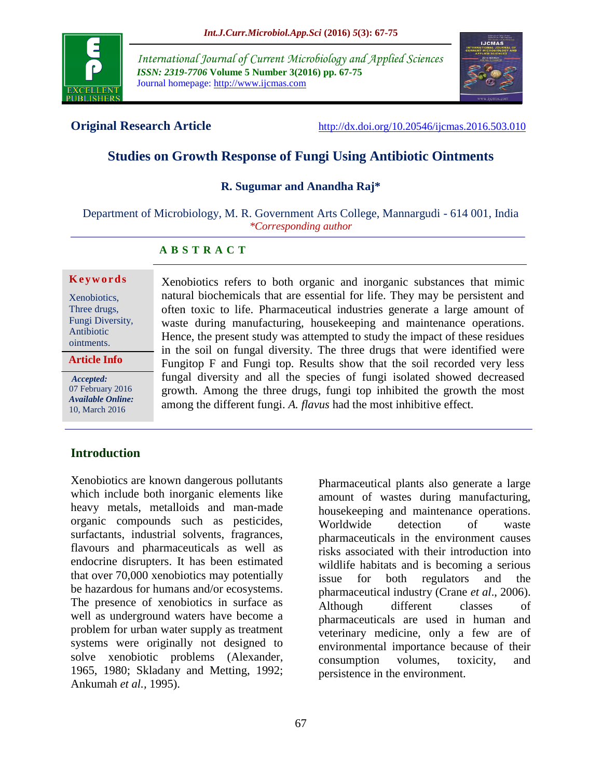

*International Journal of Current Microbiology and Applied Sciences ISSN: 2319-7706* **Volume 5 Number 3(2016) pp. 67-75** Journal homepage: http://www.ijcmas.com



**Original Research Article** <http://dx.doi.org/10.20546/ijcmas.2016.503.010>

# **Studies on Growth Response of Fungi Using Antibiotic Ointments**

#### **R. Sugumar and Anandha Raj\***

Department of Microbiology, M. R. Government Arts College, Mannargudi - 614 001, India *\*Corresponding author*

#### **A B S T R A C T**

#### **K e y w o r d s**

Xenobiotics, Three drugs, Fungi Diversity, Antibiotic ointments.

**Article Info**

*Accepted:*  07 February 2016 *Available Online:* 10, March 2016

Xenobiotics refers to both organic and inorganic substances that mimic natural biochemicals that are essential for life. They may be persistent and often toxic to life. Pharmaceutical industries generate a large amount of waste during manufacturing, housekeeping and maintenance operations. Hence, the present study was attempted to study the impact of these residues in the soil on fungal diversity. The three drugs that were identified were Fungitop F and Fungi top. Results show that the soil recorded very less fungal diversity and all the species of fungi isolated showed decreased growth. Among the three drugs, fungi top inhibited the growth the most among the different fungi. *A. flavus* had the most inhibitive effect.

#### **Introduction**

Xenobiotics are known dangerous pollutants which include both inorganic elements like heavy metals, metalloids and man-made organic compounds such as pesticides, surfactants, industrial solvents, fragrances, flavours and pharmaceuticals as well as endocrine disrupters. It has been estimated that over 70,000 xenobiotics may potentially be hazardous for humans and/or ecosystems. The presence of xenobiotics in surface as well as underground waters have become a problem for urban water supply as treatment systems were originally not designed to solve xenobiotic problems (Alexander, 1965, 1980; Skladany and Metting, 1992; Ankumah *et al.,* 1995).

Pharmaceutical plants also generate a large amount of wastes during manufacturing, housekeeping and maintenance operations. Worldwide detection of waste pharmaceuticals in the environment causes risks associated with their introduction into wildlife habitats and is becoming a serious issue for both regulators and the pharmaceutical industry (Crane *et al*., 2006). Although different classes of pharmaceuticals are used in human and veterinary medicine, only a few are of environmental importance because of their consumption volumes, toxicity, and persistence in the environment.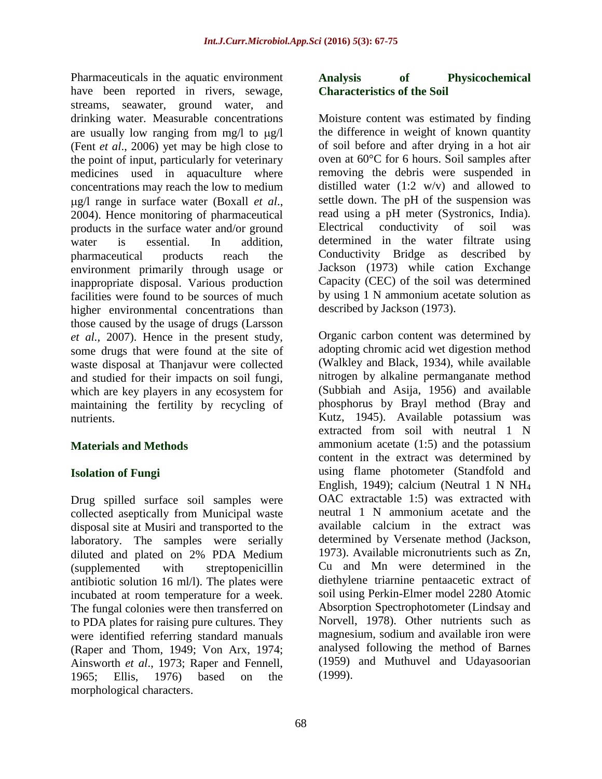Pharmaceuticals in the aquatic environment have been reported in rivers, sewage, streams, seawater, ground water, and drinking water. Measurable concentrations are usually low ranging from  $mg/l$  to  $\mu g/l$ (Fent *et al*., 2006) yet may be high close to the point of input, particularly for veterinary medicines used in aquaculture where concentrations may reach the low to medium g/l range in surface water (Boxall *et al*., 2004). Hence monitoring of pharmaceutical products in the surface water and/or ground water is essential. In addition, pharmaceutical products reach the environment primarily through usage or inappropriate disposal. Various production facilities were found to be sources of much higher environmental concentrations than those caused by the usage of drugs (Larsson *et al.,* 2007). Hence in the present study, some drugs that were found at the site of waste disposal at Thanjavur were collected and studied for their impacts on soil fungi, which are key players in any ecosystem for maintaining the fertility by recycling of nutrients.

#### **Materials and Methods**

#### **Isolation of Fungi**

Drug spilled surface soil samples were collected aseptically from Municipal waste disposal site at Musiri and transported to the laboratory. The samples were serially diluted and plated on 2% PDA Medium (supplemented with streptopenicillin antibiotic solution 16 ml/l). The plates were incubated at room temperature for a week. The fungal colonies were then transferred on to PDA plates for raising pure cultures. They were identified referring standard manuals (Raper and Thom, 1949; Von Arx, 1974; Ainsworth *et al*., 1973; Raper and Fennell, 1965; Ellis, 1976) based on the morphological characters.

#### **Analysis of Physicochemical Characteristics of the Soil**

Moisture content was estimated by finding the difference in weight of known quantity of soil before and after drying in a hot air oven at 60°C for 6 hours. Soil samples after removing the debris were suspended in distilled water  $(1:2 \text{ w/v})$  and allowed to settle down. The pH of the suspension was read using a pH meter (Systronics, India). Electrical conductivity of soil was determined in the water filtrate using Conductivity Bridge as described by Jackson (1973) while cation Exchange Capacity (CEC) of the soil was determined by using 1 N ammonium acetate solution as described by Jackson (1973).

Organic carbon content was determined by adopting chromic acid wet digestion method (Walkley and Black, 1934), while available nitrogen by alkaline permanganate method (Subbiah and Asija, 1956) and available phosphorus by Brayl method (Bray and Kutz, 1945). Available potassium was extracted from soil with neutral 1 N ammonium acetate (1:5) and the potassium content in the extract was determined by using flame photometer (Standfold and English, 1949); calcium (Neutral 1 N NH<sup>4</sup> OAC extractable 1:5) was extracted with neutral 1 N ammonium acetate and the available calcium in the extract was determined by Versenate method (Jackson, 1973). Available micronutrients such as Zn, Cu and Mn were determined in the diethylene triarnine pentaacetic extract of soil using Perkin-Elmer model 2280 Atomic Absorption Spectrophotometer (Lindsay and Norvell, 1978). Other nutrients such as magnesium, sodium and available iron were analysed following the method of Barnes (1959) and Muthuvel and Udayasoorian (1999).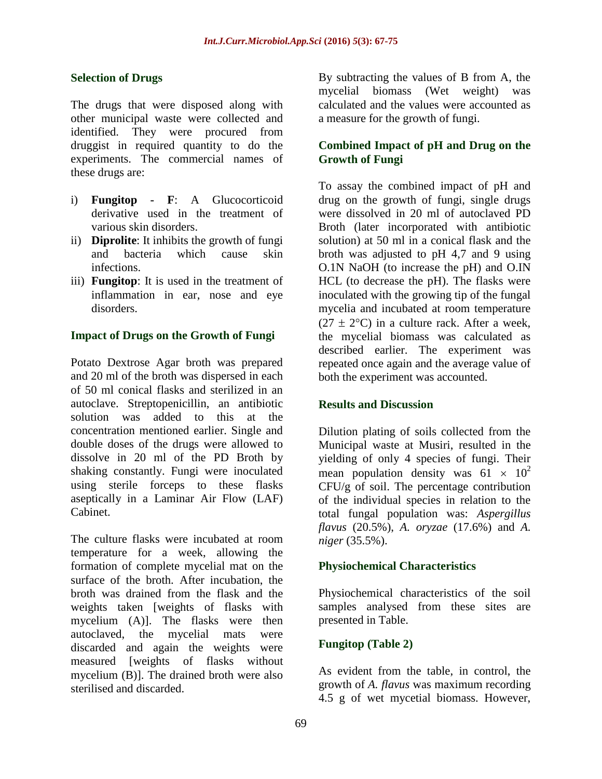#### **Selection of Drugs**

The drugs that were disposed along with other municipal waste were collected and identified. They were procured from druggist in required quantity to do the experiments. The commercial names of these drugs are:

- i) **Fungitop - F**: A Glucocorticoid derivative used in the treatment of various skin disorders.
- ii) **Diprolite**: It inhibits the growth of fungi and bacteria which cause skin infections.
- iii) **Fungitop**: It is used in the treatment of inflammation in ear, nose and eye disorders.

#### **Impact of Drugs on the Growth of Fungi**

Potato Dextrose Agar broth was prepared and 20 ml of the broth was dispersed in each of 50 ml conical flasks and sterilized in an autoclave. Streptopenicillin, an antibiotic solution was added to this at the concentration mentioned earlier. Single and double doses of the drugs were allowed to dissolve in 20 ml of the PD Broth by shaking constantly. Fungi were inoculated using sterile forceps to these flasks aseptically in a Laminar Air Flow (LAF) Cabinet.

The culture flasks were incubated at room temperature for a week, allowing the formation of complete mycelial mat on the surface of the broth. After incubation, the broth was drained from the flask and the weights taken [weights of flasks with mycelium (A)]. The flasks were then autoclaved, the mycelial mats were discarded and again the weights were measured [weights of flasks without mycelium (B)]. The drained broth were also sterilised and discarded.

By subtracting the values of B from A, the mycelial biomass (Wet weight) was calculated and the values were accounted as a measure for the growth of fungi.

#### **Combined Impact of pH and Drug on the Growth of Fungi**

To assay the combined impact of pH and drug on the growth of fungi, single drugs were dissolved in 20 ml of autoclaved PD Broth (later incorporated with antibiotic solution) at 50 ml in a conical flask and the broth was adjusted to pH 4,7 and 9 using O.1N NaOH (to increase the pH) and O.IN HCL (to decrease the pH). The flasks were inoculated with the growing tip of the fungal mycelia and incubated at room temperature  $(27 \pm 2$ °C) in a culture rack. After a week, the mycelial biomass was calculated as described earlier. The experiment was repeated once again and the average value of both the experiment was accounted.

#### **Results and Discussion**

Dilution plating of soils collected from the Municipal waste at Musiri, resulted in the yielding of only 4 species of fungi. Their mean population density was  $61 \times 10^2$ CFU/g of soil. The percentage contribution of the individual species in relation to the total fungal population was: *Aspergillus flavus* (20.5%), *A. oryzae* (17.6%) and *A. niger* (35.5%).

#### **Physiochemical Characteristics**

Physiochemical characteristics of the soil samples analysed from these sites are presented in Table.

#### **Fungitop (Table 2)**

As evident from the table, in control, the growth of *A. flavus* was maximum recording 4.5 g of wet mycetial biomass. However,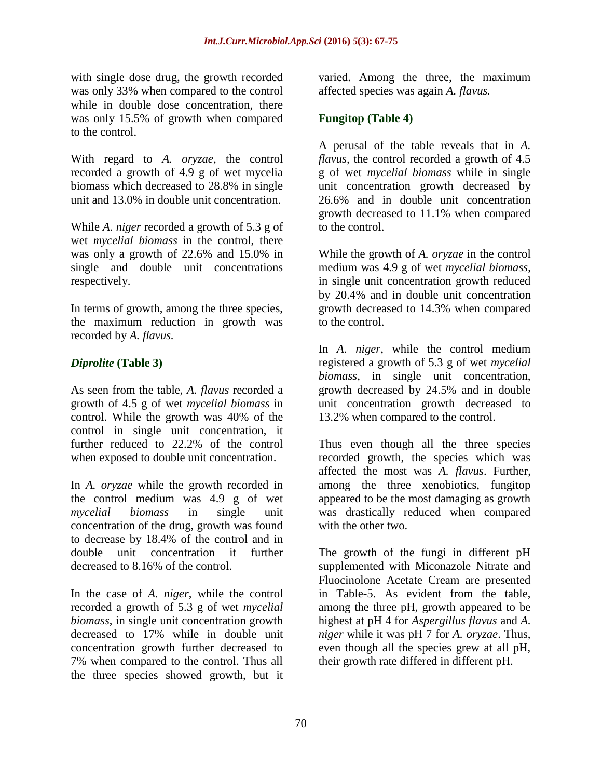with single dose drug, the growth recorded was only 33% when compared to the control while in double dose concentration, there was only 15.5% of growth when compared to the control.

With regard to *A. oryzae*, the control recorded a growth of 4.9 g of wet mycelia biomass which decreased to 28.8% in single unit and 13.0% in double unit concentration.

While *A. niger* recorded a growth of 5.3 g of wet *mycelial biomass* in the control, there was only a growth of 22.6% and 15.0% in single and double unit concentrations respectively.

In terms of growth, among the three species, the maximum reduction in growth was recorded by *A. flavus.* 

#### *Diprolite* **(Table 3)**

As seen from the table, *A. flavus* recorded a growth of 4.5 g of wet *mycelial biomass* in control. While the growth was 40% of the control in single unit concentration, it further reduced to 22.2% of the control when exposed to double unit concentration.

In *A. oryzae* while the growth recorded in the control medium was 4.9 g of wet *mycelial biomass* in single unit concentration of the drug, growth was found to decrease by 18.4% of the control and in double unit concentration it further decreased to 8.16% of the control.

In the case of *A. niger*, while the control recorded a growth of 5.3 g of wet *mycelial biomass*, in single unit concentration growth decreased to 17% while in double unit concentration growth further decreased to 7% when compared to the control. Thus all the three species showed growth, but it varied. Among the three, the maximum affected species was again *A. flavus.* 

### **Fungitop (Table 4)**

A perusal of the table reveals that in *A. flavus,* the control recorded a growth of 4.5 g of wet *mycelial biomass* while in single unit concentration growth decreased by 26.6% and in double unit concentration growth decreased to 11.1% when compared to the control.

While the growth of *A. oryzae* in the control medium was 4.9 g of wet *mycelial biomass*, in single unit concentration growth reduced by 20.4% and in double unit concentration growth decreased to 14.3% when compared to the control.

In *A. niger*, while the control medium registered a growth of 5.3 g of wet *mycelial biomass*, in single unit concentration, growth decreased by 24.5% and in double unit concentration growth decreased to 13.2% when compared to the control.

Thus even though all the three species recorded growth, the species which was affected the most was *A. flavus*. Further, among the three xenobiotics, fungitop appeared to be the most damaging as growth was drastically reduced when compared with the other two.

The growth of the fungi in different pH supplemented with Miconazole Nitrate and Fluocinolone Acetate Cream are presented in Table-5. As evident from the table, among the three pH, growth appeared to be highest at pH 4 for *Aspergillus flavus* and *A. niger* while it was pH 7 for *A. oryzae*. Thus, even though all the species grew at all pH, their growth rate differed in different pH.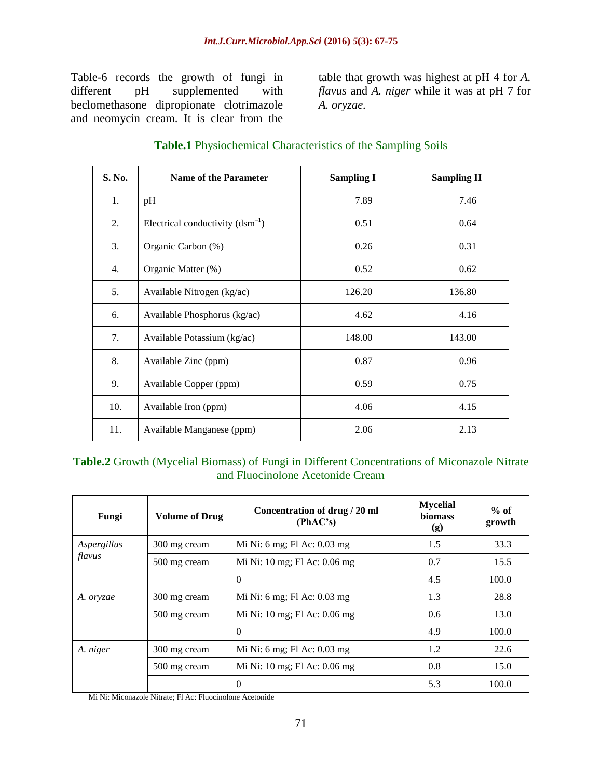Table-6 records the growth of fungi in different pH supplemented with beclomethasone dipropionate clotrimazole and neomycin cream. It is clear from the

table that growth was highest at pH 4 for *A. flavus* and *A. niger* while it was at pH 7 for *A. oryzae.*

| S. No. | <b>Name of the Parameter</b>         | <b>Sampling I</b> | <b>Sampling II</b> |
|--------|--------------------------------------|-------------------|--------------------|
| 1.     | pH                                   | 7.89              | 7.46               |
| 2.     | Electrical conductivity $(dsm^{-1})$ | 0.51              | 0.64               |
| 3.     | Organic Carbon (%)                   | 0.26              | 0.31               |
| 4.     | Organic Matter (%)                   | 0.52              | 0.62               |
| 5.     | Available Nitrogen (kg/ac)           | 126.20            | 136.80             |
| 6.     | Available Phosphorus (kg/ac)         | 4.62              | 4.16               |
| 7.     | Available Potassium (kg/ac)          | 148.00            | 143.00             |
| 8.     | Available Zinc (ppm)                 | 0.87              | 0.96               |
| 9.     | Available Copper (ppm)               | 0.59              | 0.75               |
| 10.    | Available Iron (ppm)                 | 4.06              | 4.15               |
| 11.    | Available Manganese (ppm)            | 2.06              | 2.13               |

### **Table.1** Physiochemical Characteristics of the Sampling Soils

# **Table.2** Growth (Mycelial Biomass) of Fungi in Different Concentrations of Miconazole Nitrate and Fluocinolone Acetonide Cream

| Fungi       | <b>Volume of Drug</b> | Concentration of drug / 20 ml<br>(PhAC's) | <b>Mycelial</b><br><b>biomass</b><br>(g) | $%$ of<br>growth |
|-------------|-----------------------|-------------------------------------------|------------------------------------------|------------------|
| Aspergillus | 300 mg cream          | Mi Ni: 6 mg; Fl Ac: 0.03 mg               | 1.5                                      | 33.3             |
| flavus      | 500 mg cream          | Mi Ni: 10 mg; Fl Ac: 0.06 mg              | 0.7                                      | 15.5             |
|             |                       | $\theta$                                  | 4.5                                      | 100.0            |
| A. oryzae   | 300 mg cream          | Mi Ni: 6 mg; Fl Ac: 0.03 mg               | 1.3                                      | 28.8             |
|             | 500 mg cream          | Mi Ni: 10 mg; Fl Ac: 0.06 mg              | 0.6                                      | 13.0             |
|             |                       | $\Omega$                                  | 4.9                                      | 100.0            |
| A. niger    | 300 mg cream          | Mi Ni: 6 mg; Fl Ac: 0.03 mg               | 1.2                                      | 22.6             |
|             | 500 mg cream          | Mi Ni: 10 mg; Fl Ac: 0.06 mg              | 0.8                                      | 15.0             |
|             |                       | $\Omega$                                  | 5.3                                      | 100.0            |

Mi Ni: Miconazole Nitrate; Fl Ac: Fluocinolone Acetonide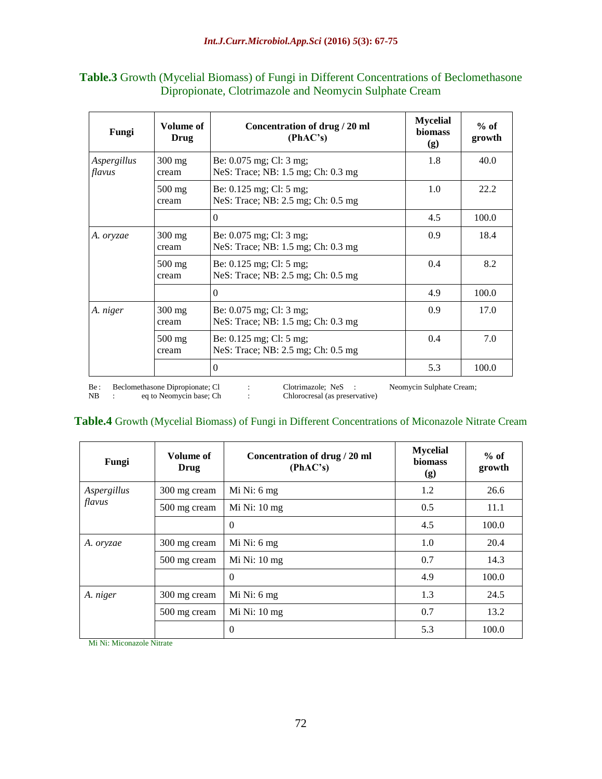#### **Table.3** Growth (Mycelial Biomass) of Fungi in Different Concentrations of Beclomethasone Dipropionate, Clotrimazole and Neomycin Sulphate Cream

| Fungi                 | Volume of<br><b>Drug</b>  | Concentration of drug / 20 ml<br>(PhAC's)                         | <b>Mycelial</b><br><b>biomass</b><br>(g) | $%$ of<br>growth |
|-----------------------|---------------------------|-------------------------------------------------------------------|------------------------------------------|------------------|
| Aspergillus<br>flavus | $300 \text{ mg}$<br>cream | Be: $0.075$ mg; Cl: $3$ mg;<br>NeS: Trace; NB: 1.5 mg; Ch: 0.3 mg | 1.8                                      | 40.0             |
|                       | $500 \text{ mg}$<br>cream | Be: 0.125 mg; Cl: 5 mg;<br>NeS: Trace; NB: 2.5 mg; Ch: 0.5 mg     | 1.0                                      | 22.2             |
|                       |                           | $\Omega$                                                          | 4.5                                      | 100.0            |
| A. oryzae             | $300 \text{ mg}$<br>cream | Be: 0.075 mg; Cl: 3 mg;<br>NeS: Trace; NB: 1.5 mg; Ch: 0.3 mg     | 0.9                                      | 18.4             |
|                       | $500$ mg<br>cream         | Be: 0.125 mg; Cl: 5 mg;<br>NeS: Trace; NB: 2.5 mg; Ch: 0.5 mg     | 0.4                                      | 8.2              |
|                       |                           | $\Omega$                                                          | 4.9                                      | 100.0            |
| A. niger              | $300 \text{ mg}$<br>cream | Be: $0.075$ mg; Cl: $3$ mg;<br>NeS: Trace; NB: 1.5 mg; Ch: 0.3 mg | 0.9                                      | 17.0             |
|                       | $500 \text{ mg}$<br>cream | Be: $0.125$ mg; Cl: $5$ mg;<br>NeS: Trace; NB: 2.5 mg; Ch: 0.5 mg | 0.4                                      | 7.0              |
|                       |                           | $\theta$                                                          | 5.3                                      | 100.0            |

Be: Beclomethasone Dipropionate; Cl : Clotrimazole; NeS : Neomycin Sulphate Cream; NB : eq to Neomycin base; Ch : Chlorocresal (as preservative)

#### Chlorocresal (as preservative)

#### **Table.4** Growth (Mycelial Biomass) of Fungi in Different Concentrations of Miconazole Nitrate Cream

| Fungi       | Volume of<br>Drug | Concentration of drug / 20 ml<br>(PhAC's) | <b>Mycelial</b><br><b>biomass</b><br>(g) | $%$ of<br>growth |
|-------------|-------------------|-------------------------------------------|------------------------------------------|------------------|
| Aspergillus | 300 mg cream      | Mi Ni: 6 mg                               | 1.2                                      | 26.6             |
| flavus      | 500 mg cream      | Mi Ni: $10 \text{ mg}$                    | 0.5                                      | 11.1             |
|             |                   | $\Omega$                                  | 4.5                                      | 100.0            |
| A. oryzae   | 300 mg cream      | Mi Ni: 6 mg                               | 1.0                                      | 20.4             |
|             | 500 mg cream      | $Mi$ Ni: 10 mg                            | 0.7                                      | 14.3             |
|             |                   | $\Omega$                                  | 4.9                                      | 100.0            |
| A. niger    | 300 mg cream      | Mi Ni: 6 mg                               | 1.3                                      | 24.5             |
|             | 500 mg cream      | Mi Ni: $10 \text{ mg}$                    | 0.7                                      | 13.2             |
|             |                   | $\Omega$                                  | 5.3                                      | 100.0            |

Mi Ni: Miconazole Nitrate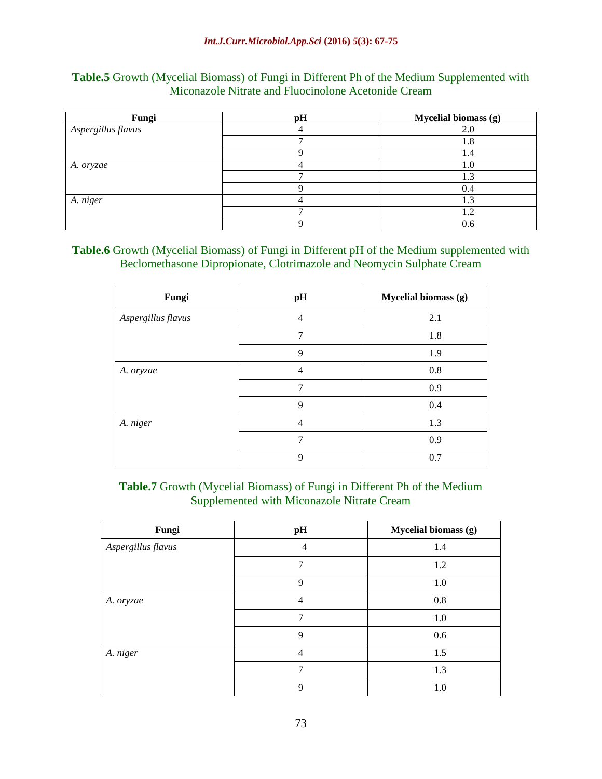| Fungi              | pH | Mycelial biomass (g) |
|--------------------|----|----------------------|
| Aspergillus flavus |    | 2.0                  |
|                    |    | 1.8                  |
|                    |    | 1.4                  |
| A. oryzae          |    | 1.0                  |
|                    |    | 1.3                  |
|                    |    | 0.4                  |
| A. niger           |    | 1.3                  |
|                    |    | 1.2                  |
|                    |    | 0.6                  |

#### **Table.5** Growth (Mycelial Biomass) of Fungi in Different Ph of the Medium Supplemented with Miconazole Nitrate and Fluocinolone Acetonide Cream

#### **Table.6** Growth (Mycelial Biomass) of Fungi in Different pH of the Medium supplemented with Beclomethasone Dipropionate, Clotrimazole and Neomycin Sulphate Cream

| Fungi              | pH             | Mycelial biomass (g) |
|--------------------|----------------|----------------------|
| Aspergillus flavus | $\overline{4}$ | 2.1                  |
|                    | 7              | 1.8                  |
|                    | 9              | 1.9                  |
| A. oryzae          | $\overline{4}$ | 0.8                  |
|                    | 7              | 0.9                  |
|                    | 9              | 0.4                  |
| A. niger           | $\overline{4}$ | 1.3                  |
|                    | 7              | 0.9                  |
|                    | 9              | 0.7                  |

# **Table.7** Growth (Mycelial Biomass) of Fungi in Different Ph of the Medium Supplemented with Miconazole Nitrate Cream

| Fungi              | pH | Mycelial biomass (g) |
|--------------------|----|----------------------|
| Aspergillus flavus | 4  | 1.4                  |
|                    | 7  | 1.2                  |
|                    | 9  | 1.0                  |
| A. oryzae          | 4  | 0.8                  |
|                    | 7  | 1.0                  |
|                    | 9  | 0.6                  |
| A. niger           | 4  | 1.5                  |
|                    | 7  | 1.3                  |
|                    | 9  | 1.0                  |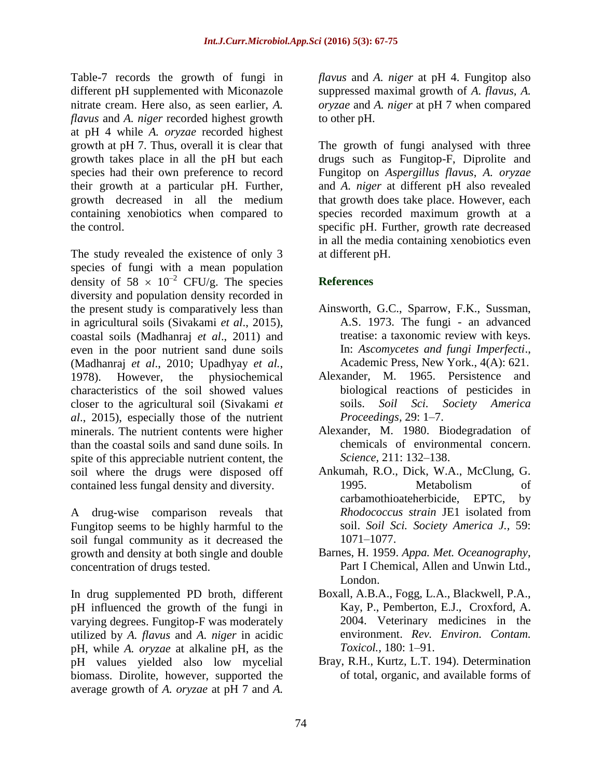Table-7 records the growth of fungi in different pH supplemented with Miconazole nitrate cream. Here also, as seen earlier, *A. flavus* and *A. niger* recorded highest growth at pH 4 while *A. oryzae* recorded highest growth at pH 7. Thus, overall it is clear that growth takes place in all the pH but each species had their own preference to record their growth at a particular pH. Further, growth decreased in all the medium containing xenobiotics when compared to the control.

The study revealed the existence of only 3 species of fungi with a mean population density of  $58 \times 10^{-2}$  CFU/g. The species diversity and population density recorded in the present study is comparatively less than in agricultural soils (Sivakami *et al*., 2015), coastal soils (Madhanraj *et al*., 2011) and even in the poor nutrient sand dune soils (Madhanraj *et al*., 2010; Upadhyay *et al.*, 1978). However, the physiochemical characteristics of the soil showed values closer to the agricultural soil (Sivakami *et al*., 2015), especially those of the nutrient minerals. The nutrient contents were higher than the coastal soils and sand dune soils. In spite of this appreciable nutrient content, the soil where the drugs were disposed off contained less fungal density and diversity.

A drug-wise comparison reveals that Fungitop seems to be highly harmful to the soil fungal community as it decreased the growth and density at both single and double concentration of drugs tested.

In drug supplemented PD broth, different pH influenced the growth of the fungi in varying degrees. Fungitop-F was moderately utilized by *A. flavus* and *A. niger* in acidic pH, while *A. oryzae* at alkaline pH, as the pH values yielded also low mycelial biomass. Dirolite, however, supported the average growth of *A. oryzae* at pH 7 and *A.* 

*flavus* and *A. niger* at pH 4. Fungitop also suppressed maximal growth of *A. flavus, A. oryzae* and *A. niger* at pH 7 when compared to other pH.

The growth of fungi analysed with three drugs such as Fungitop-F, Diprolite and Fungitop on *Aspergillus flavus*, *A. oryzae* and *A. niger* at different pH also revealed that growth does take place. However, each species recorded maximum growth at a specific pH. Further, growth rate decreased in all the media containing xenobiotics even at different pH.

# **References**

- Ainsworth, G.C., Sparrow, F.K., Sussman, A.S. 1973. The fungi - an advanced treatise: a taxonomic review with keys. In: *Ascomycetes and fungi Imperfecti*., Academic Press, New York., 4(A): 621.
- Alexander, M. 1965. Persistence and biological reactions of pesticides in soils. *Soil Sci. Society America Proceedings,* 29: 1–7.
- Alexander, M. 1980. Biodegradation of chemicals of environmental concern. *Science,* 211: 132–138.
- Ankumah, R.O., Dick, W.A., McClung, G. 1995. Metabolism of carbamothioateherbicide, EPTC, by *Rhodococcus strain* JE1 isolated from soil. *Soil Sci. Society America J.,* 59: 1071–1077.
- Barnes, H. 1959. *Appa. Met. Oceanography*, Part I Chemical, Allen and Unwin Ltd., London.
- Boxall, A.B.A., Fogg, L.A., Blackwell, P.A., Kay, P., Pemberton, E.J., Croxford, A. 2004. Veterinary medicines in the environment. *Rev. Environ. Contam. Toxicol.,* 180: 1–91.
- Bray, R.H., Kurtz, L.T. 194). Determination of total, organic, and available forms of